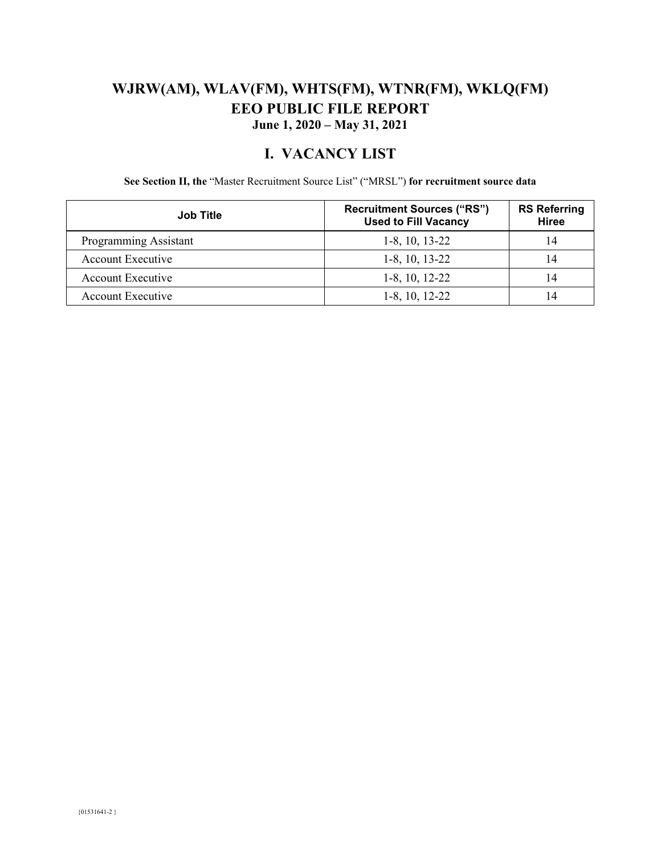### **WJRW(AM), WLAV(FM), WHTS(FM), WTNR(FM), WKLQ(FM) EEO PUBLIC FILE REPORT June 1, 2020 – May 31, 2021**

#### **I. VACANCY LIST**

**See Section II, the** "Master Recruitment Source List" ("MRSL") **for recruitment source data** 

| <b>Job Title</b>      | <b>Recruitment Sources ("RS")</b><br><b>Used to Fill Vacancy</b> | <b>RS Referring</b><br><b>Hiree</b> |
|-----------------------|------------------------------------------------------------------|-------------------------------------|
| Programming Assistant | $1-8$ , 10, 13-22                                                |                                     |
| Account Executive     | $1-8$ , 10, 13-22                                                |                                     |
| Account Executive     | $1-8$ , 10, 12-22                                                |                                     |
| Account Executive     | $1-8$ , 10, 12-22                                                |                                     |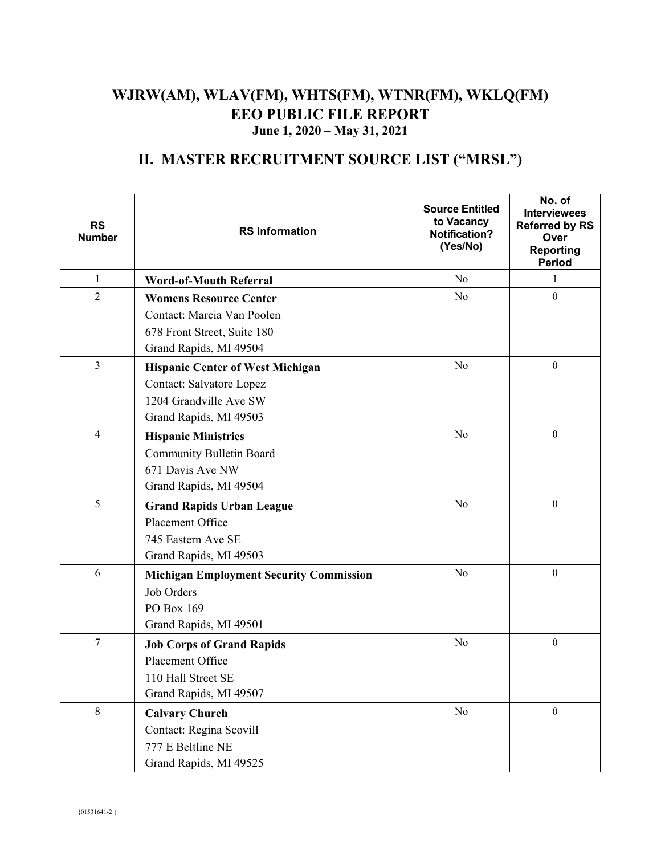### **WJRW(AM), WLAV(FM), WHTS(FM), WTNR(FM), WKLQ(FM) EEO PUBLIC FILE REPORT June 1, 2020 – May 31, 2021**

# **II. MASTER RECRUITMENT SOURCE LIST ("MRSL")**

| <b>RS</b><br><b>Number</b> | <b>RS Information</b>                          | <b>Source Entitled</b><br>to Vacancy<br><b>Notification?</b><br>(Yes/No) | No. of<br><b>Interviewees</b><br><b>Referred by RS</b><br>Over<br><b>Reporting</b><br><b>Period</b> |
|----------------------------|------------------------------------------------|--------------------------------------------------------------------------|-----------------------------------------------------------------------------------------------------|
| $\mathbf{1}$               | <b>Word-of-Mouth Referral</b>                  | N <sub>o</sub>                                                           | 1                                                                                                   |
| $\overline{2}$             | <b>Womens Resource Center</b>                  | No                                                                       | $\boldsymbol{0}$                                                                                    |
|                            | Contact: Marcia Van Poolen                     |                                                                          |                                                                                                     |
|                            | 678 Front Street, Suite 180                    |                                                                          |                                                                                                     |
|                            | Grand Rapids, MI 49504                         |                                                                          |                                                                                                     |
| $\overline{3}$             | <b>Hispanic Center of West Michigan</b>        | No                                                                       | $\boldsymbol{0}$                                                                                    |
|                            | Contact: Salvatore Lopez                       |                                                                          |                                                                                                     |
|                            | 1204 Grandville Ave SW                         |                                                                          |                                                                                                     |
|                            | Grand Rapids, MI 49503                         |                                                                          |                                                                                                     |
| $\overline{4}$             | <b>Hispanic Ministries</b>                     | No                                                                       | $\boldsymbol{0}$                                                                                    |
|                            | <b>Community Bulletin Board</b>                |                                                                          |                                                                                                     |
|                            | 671 Davis Ave NW                               |                                                                          |                                                                                                     |
|                            | Grand Rapids, MI 49504                         |                                                                          |                                                                                                     |
| 5                          | <b>Grand Rapids Urban League</b>               | No                                                                       | $\boldsymbol{0}$                                                                                    |
|                            | Placement Office                               |                                                                          |                                                                                                     |
|                            | 745 Eastern Ave SE                             |                                                                          |                                                                                                     |
|                            | Grand Rapids, MI 49503                         |                                                                          |                                                                                                     |
| 6                          | <b>Michigan Employment Security Commission</b> | No                                                                       | $\boldsymbol{0}$                                                                                    |
|                            | Job Orders                                     |                                                                          |                                                                                                     |
|                            | PO Box 169                                     |                                                                          |                                                                                                     |
|                            | Grand Rapids, MI 49501                         |                                                                          |                                                                                                     |
| $\boldsymbol{7}$           | <b>Job Corps of Grand Rapids</b>               | No                                                                       | $\boldsymbol{0}$                                                                                    |
|                            | Placement Office                               |                                                                          |                                                                                                     |
|                            | 110 Hall Street SE                             |                                                                          |                                                                                                     |
|                            | Grand Rapids, MI 49507                         |                                                                          |                                                                                                     |
| 8                          | <b>Calvary Church</b>                          | No                                                                       | $\boldsymbol{0}$                                                                                    |
|                            | Contact: Regina Scovill                        |                                                                          |                                                                                                     |
|                            | 777 E Beltline NE                              |                                                                          |                                                                                                     |
|                            | Grand Rapids, MI 49525                         |                                                                          |                                                                                                     |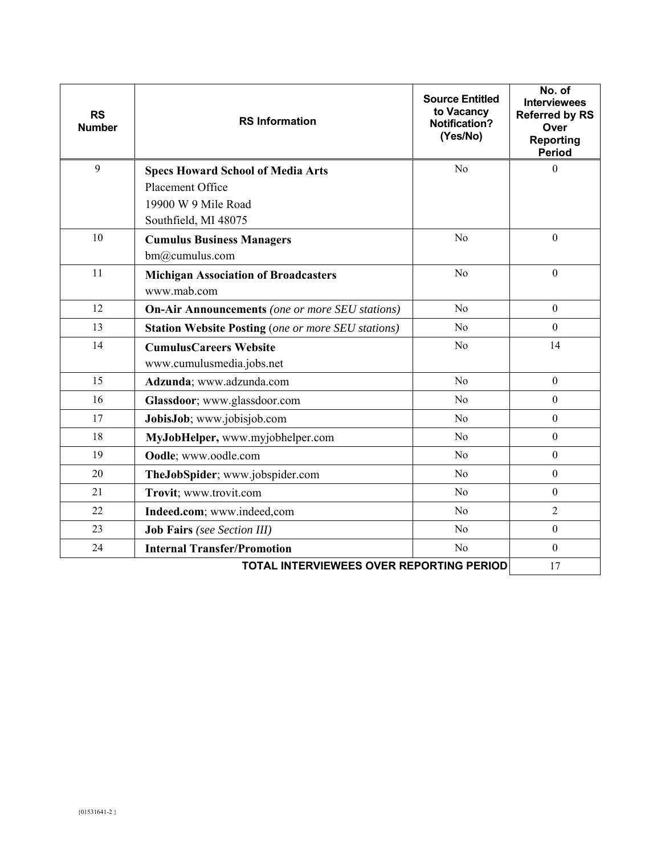| <b>RS</b><br><b>Number</b> | <b>RS Information</b>                                     | <b>Source Entitled</b><br>to Vacancy<br><b>Notification?</b><br>(Yes/No) | No. of<br><b>Interviewees</b><br><b>Referred by RS</b><br>Over<br><b>Reporting</b><br><b>Period</b> |
|----------------------------|-----------------------------------------------------------|--------------------------------------------------------------------------|-----------------------------------------------------------------------------------------------------|
| 9                          | <b>Specs Howard School of Media Arts</b>                  | N <sub>o</sub>                                                           | $\overline{0}$                                                                                      |
|                            | Placement Office                                          |                                                                          |                                                                                                     |
|                            | 19900 W 9 Mile Road                                       |                                                                          |                                                                                                     |
|                            | Southfield, MI 48075                                      |                                                                          |                                                                                                     |
| 10                         | <b>Cumulus Business Managers</b>                          | No                                                                       | $\boldsymbol{0}$                                                                                    |
|                            | bm@cumulus.com                                            |                                                                          |                                                                                                     |
| 11                         | <b>Michigan Association of Broadcasters</b>               | No                                                                       | $\boldsymbol{0}$                                                                                    |
|                            | www.mab.com                                               |                                                                          |                                                                                                     |
| 12                         | <b>On-Air Announcements</b> (one or more SEU stations)    | N <sub>o</sub>                                                           | $\mathbf{0}$                                                                                        |
| 13                         | <b>Station Website Posting (one or more SEU stations)</b> | No                                                                       | $\mathbf{0}$                                                                                        |
| 14                         | <b>CumulusCareers Website</b>                             | No                                                                       | 14                                                                                                  |
|                            | www.cumulusmedia.jobs.net                                 |                                                                          |                                                                                                     |
| 15                         | Adzunda; www.adzunda.com                                  | No                                                                       | $\boldsymbol{0}$                                                                                    |
| 16                         | Glassdoor; www.glassdoor.com                              | N <sub>o</sub>                                                           | $\mathbf{0}$                                                                                        |
| 17                         | JobisJob; www.jobisjob.com                                | N <sub>o</sub>                                                           | $\overline{0}$                                                                                      |
| 18                         | MyJobHelper, www.myjobhelper.com                          | N <sub>o</sub>                                                           | $\mathbf{0}$                                                                                        |
| 19                         | Oodle; www.oodle.com                                      | N <sub>o</sub>                                                           | $\mathbf{0}$                                                                                        |
| 20                         | TheJobSpider; www.jobspider.com                           | N <sub>o</sub>                                                           | $\boldsymbol{0}$                                                                                    |
| 21                         | Trovit; www.trovit.com                                    | N <sub>o</sub>                                                           | $\boldsymbol{0}$                                                                                    |
| 22                         | Indeed.com; www.indeed.com                                | N <sub>o</sub>                                                           | $\overline{2}$                                                                                      |
| 23                         | <b>Job Fairs</b> (see Section III)                        | No                                                                       | $\boldsymbol{0}$                                                                                    |
| 24                         | <b>Internal Transfer/Promotion</b>                        | N <sub>o</sub>                                                           | $\overline{0}$                                                                                      |
|                            | 17                                                        |                                                                          |                                                                                                     |